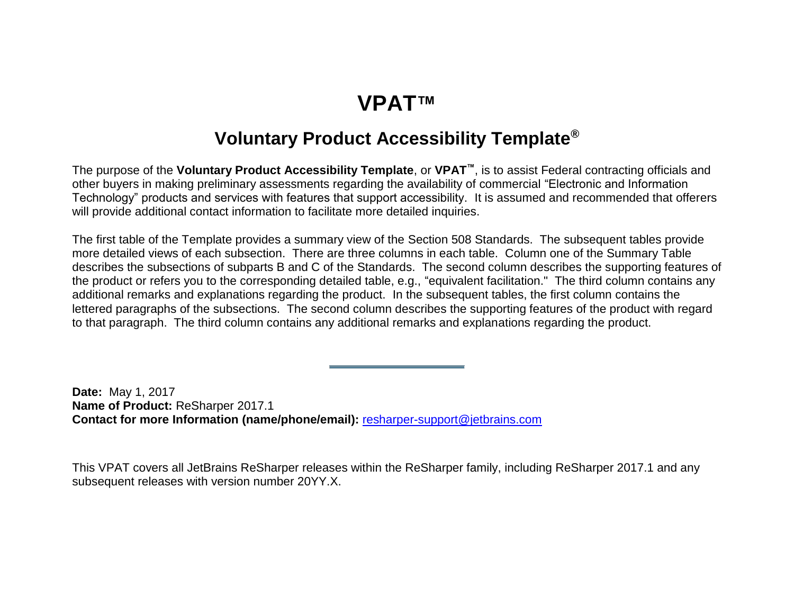## **VPAT™**

### **Voluntary Product Accessibility Template®**

<span id="page-0-0"></span>The purpose of the **Voluntary Product Accessibility Template**, or **VPAT™**, is to assist Federal contracting officials and other buyers in making preliminary assessments regarding the availability of commercial "Electronic and Information Technology" products and services with features that support accessibility. It is assumed and recommended that offerers will provide additional contact information to facilitate more detailed inquiries.

The first table of the Template provides a summary view of the Section 508 Standards. The subsequent tables provide more detailed views of each subsection. There are three columns in each table. Column one of the Summary Table describes the subsections of subparts B and C of the Standards. The second column describes the supporting features of the product or refers you to the corresponding detailed table, e.g., "equivalent facilitation." The third column contains any additional remarks and explanations regarding the product. In the subsequent tables, the first column contains the lettered paragraphs of the subsections. The second column describes the supporting features of the product with regard to that paragraph. The third column contains any additional remarks and explanations regarding the product.

**Date:** May 1, 2017 **Name of Product:** ReSharper 2017.1 **Contact for more Information (name/phone/email):** [resharper-support@jetbrains.com](mailto:resharper-support@jetbrains.com)

This VPAT covers all JetBrains ReSharper releases within the ReSharper family, including ReSharper 2017.1 and any subsequent releases with version number 20YY.X.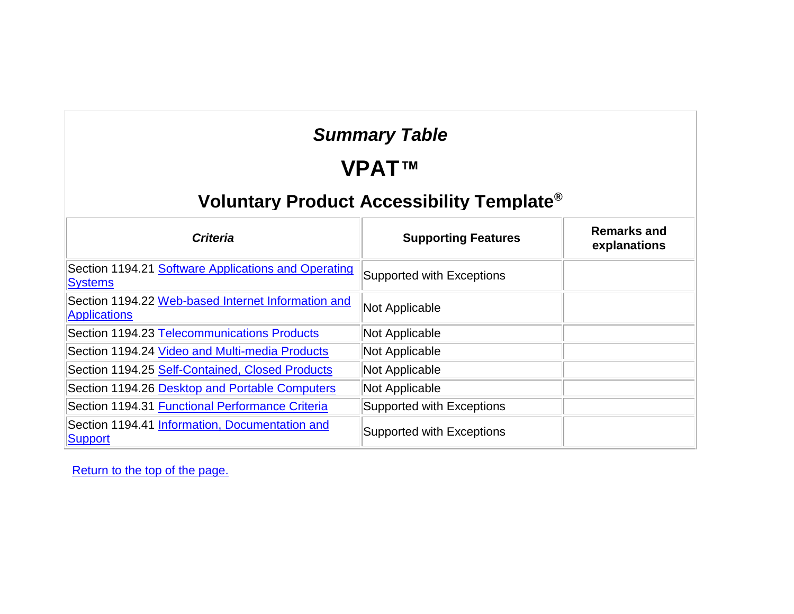## *Summary Table*

#### **VPAT™**

## **Voluntary Product Accessibility Template®**

| <b>Criteria</b>                                                           | <b>Supporting Features</b>       | <b>Remarks and</b><br>explanations |
|---------------------------------------------------------------------------|----------------------------------|------------------------------------|
| Section 1194.21 Software Applications and Operating<br><b>Systems</b>     | <b>Supported with Exceptions</b> |                                    |
| Section 1194.22 Web-based Internet Information and<br><b>Applications</b> | Not Applicable                   |                                    |
| Section 1194.23 Telecommunications Products                               | Not Applicable                   |                                    |
| Section 1194.24 Video and Multi-media Products                            | Not Applicable                   |                                    |
| Section 1194.25 Self-Contained, Closed Products                           | Not Applicable                   |                                    |
| Section 1194.26 Desktop and Portable Computers                            | Not Applicable                   |                                    |
| Section 1194.31 Functional Performance Criteria                           | Supported with Exceptions        |                                    |
| Section 1194.41 Information, Documentation and<br>Support                 | Supported with Exceptions        |                                    |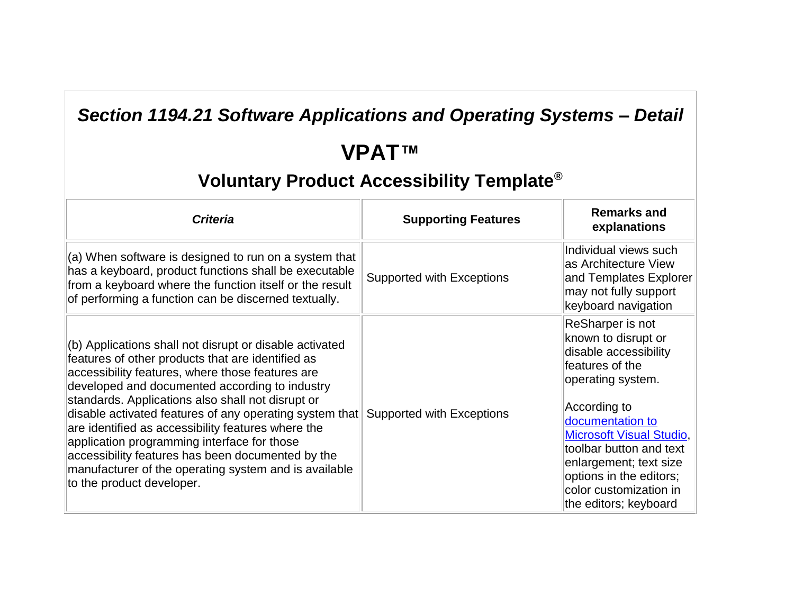### *Section 1194.21 Software Applications and Operating Systems – Detail*

# **VPAT™**

| <b>Criteria</b>                                                                                                                                                                                                                                                                                                                                                                                                                                                                                                                                                                        | <b>Supporting Features</b>       | <b>Remarks and</b><br>explanations                                                                                                                                                                                                                                                                                 |
|----------------------------------------------------------------------------------------------------------------------------------------------------------------------------------------------------------------------------------------------------------------------------------------------------------------------------------------------------------------------------------------------------------------------------------------------------------------------------------------------------------------------------------------------------------------------------------------|----------------------------------|--------------------------------------------------------------------------------------------------------------------------------------------------------------------------------------------------------------------------------------------------------------------------------------------------------------------|
| $(a)$ When software is designed to run on a system that<br>has a keyboard, product functions shall be executable<br>from a keyboard where the function itself or the result<br>of performing a function can be discerned textually.                                                                                                                                                                                                                                                                                                                                                    | <b>Supported with Exceptions</b> | Individual views such<br>las Architecture View<br>and Templates Explorer<br>may not fully support<br>keyboard navigation                                                                                                                                                                                           |
| $ $ (b) Applications shall not disrupt or disable activated<br>features of other products that are identified as<br>accessibility features, where those features are<br>developed and documented according to industry<br>standards. Applications also shall not disrupt or<br>disable activated features of any operating system that<br>are identified as accessibility features where the<br>application programming interface for those<br>accessibility features has been documented by the<br>manufacturer of the operating system and is available<br>to the product developer. | Supported with Exceptions        | ReSharper is not<br>known to disrupt or<br>disable accessibility<br>features of the<br>operating system.<br>According to<br>documentation to<br><b>Microsoft Visual Studio,</b><br>toolbar button and text<br>enlargement; text size<br>options in the editors;<br>color customization in<br>the editors; keyboard |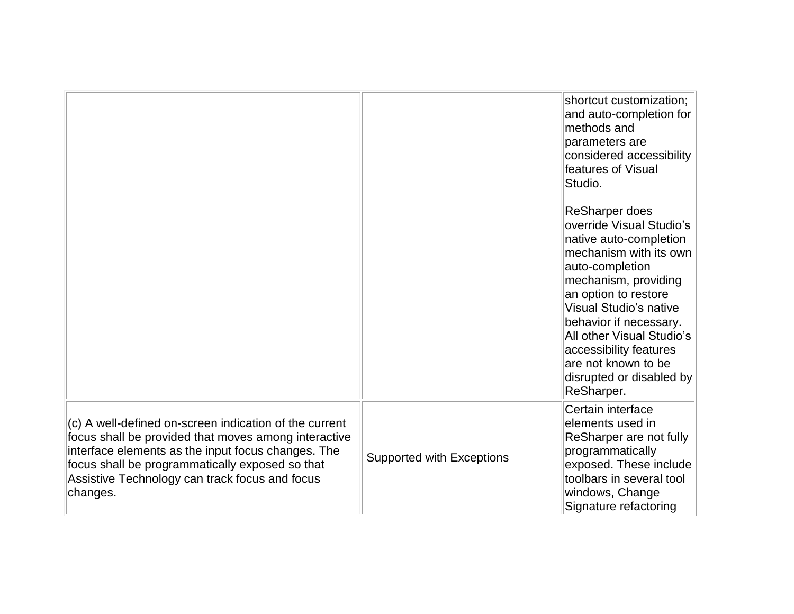|                                                                                                                                                                                                                                                                                       |                           | shortcut customization;<br>and auto-completion for<br>methods and<br>parameters are<br>considered accessibility<br>features of Visual<br>Studio.                                                                                                                                                                                                     |
|---------------------------------------------------------------------------------------------------------------------------------------------------------------------------------------------------------------------------------------------------------------------------------------|---------------------------|------------------------------------------------------------------------------------------------------------------------------------------------------------------------------------------------------------------------------------------------------------------------------------------------------------------------------------------------------|
|                                                                                                                                                                                                                                                                                       |                           | <b>ReSharper does</b><br>override Visual Studio's<br>native auto-completion<br>mechanism with its own<br>auto-completion<br>mechanism, providing<br>an option to restore<br>Visual Studio's native<br>behavior if necessary.<br>All other Visual Studio's<br>accessibility features<br>are not known to be<br>disrupted or disabled by<br>ReSharper. |
| (c) A well-defined on-screen indication of the current<br>focus shall be provided that moves among interactive<br>interface elements as the input focus changes. The<br>focus shall be programmatically exposed so that<br>Assistive Technology can track focus and focus<br>changes. | Supported with Exceptions | Certain interface<br>elements used in<br>ReSharper are not fully<br>programmatically<br>exposed. These include<br>toolbars in several tool<br>windows, Change<br>Signature refactoring                                                                                                                                                               |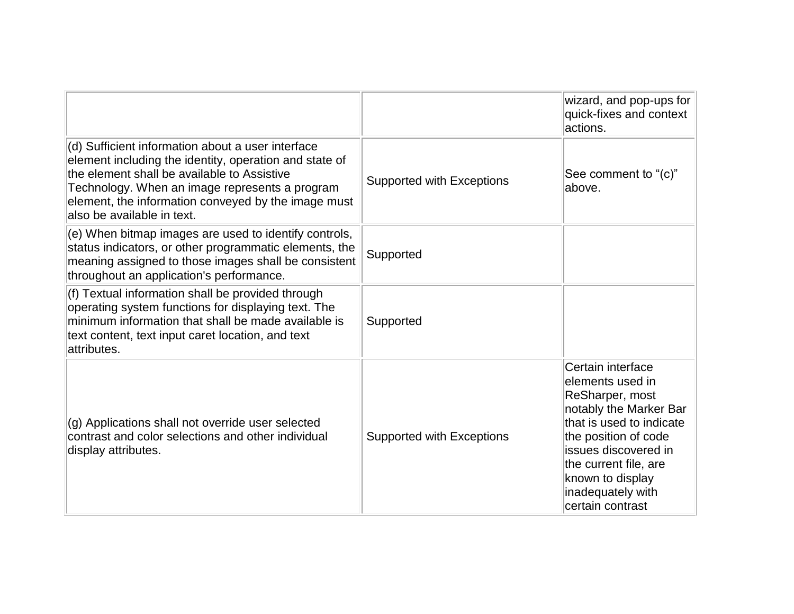|                                                                                                                                                                                                                                                                                                   |                                  | wizard, and pop-ups for<br>quick-fixes and context<br>actions.                                                                                                                                                                                         |
|---------------------------------------------------------------------------------------------------------------------------------------------------------------------------------------------------------------------------------------------------------------------------------------------------|----------------------------------|--------------------------------------------------------------------------------------------------------------------------------------------------------------------------------------------------------------------------------------------------------|
| (d) Sufficient information about a user interface<br>element including the identity, operation and state of<br>the element shall be available to Assistive<br>Technology. When an image represents a program<br>element, the information conveyed by the image must<br>also be available in text. | <b>Supported with Exceptions</b> | See comment to "(c)"<br>above.                                                                                                                                                                                                                         |
| (e) When bitmap images are used to identify controls,<br>status indicators, or other programmatic elements, the<br>meaning assigned to those images shall be consistent<br>throughout an application's performance.                                                                               | Supported                        |                                                                                                                                                                                                                                                        |
| (f) Textual information shall be provided through<br>operating system functions for displaying text. The<br>minimum information that shall be made available is<br>text content, text input caret location, and text<br>attributes.                                                               | Supported                        |                                                                                                                                                                                                                                                        |
| (g) Applications shall not override user selected<br>contrast and color selections and other individual<br>display attributes.                                                                                                                                                                    | <b>Supported with Exceptions</b> | Certain interface<br>lelements used in<br>ReSharper, most<br>notably the Marker Bar<br>that is used to indicate<br>the position of code<br>lissues discovered in<br>the current file, are<br>known to display<br>inadequately with<br>certain contrast |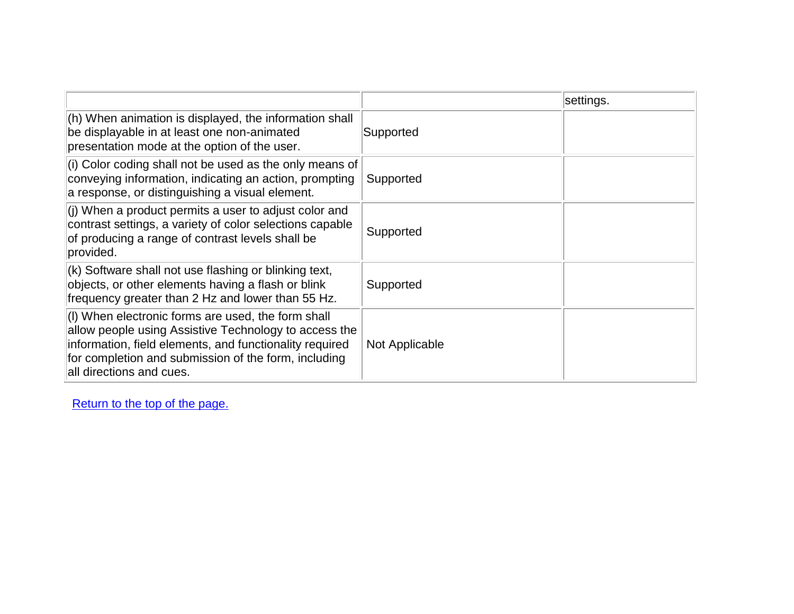|                                                                                                                                                                                                                                                            |                | settings. |
|------------------------------------------------------------------------------------------------------------------------------------------------------------------------------------------------------------------------------------------------------------|----------------|-----------|
| (h) When animation is displayed, the information shall<br>be displayable in at least one non-animated<br>presentation mode at the option of the user.                                                                                                      | Supported      |           |
| $\vert$ (i) Color coding shall not be used as the only means of<br>conveying information, indicating an action, prompting<br>a response, or distinguishing a visual element.                                                                               | Supported      |           |
| $\vert$ (j) When a product permits a user to adjust color and<br>contrast settings, a variety of color selections capable<br>of producing a range of contrast levels shall be<br>provided.                                                                 | Supported      |           |
| $(k)$ Software shall not use flashing or blinking text,<br>objects, or other elements having a flash or blink<br>frequency greater than 2 Hz and lower than 55 Hz.                                                                                         | Supported      |           |
| (I) When electronic forms are used, the form shall<br>allow people using Assistive Technology to access the<br>information, field elements, and functionality required<br>for completion and submission of the form, including<br>all directions and cues. | Not Applicable |           |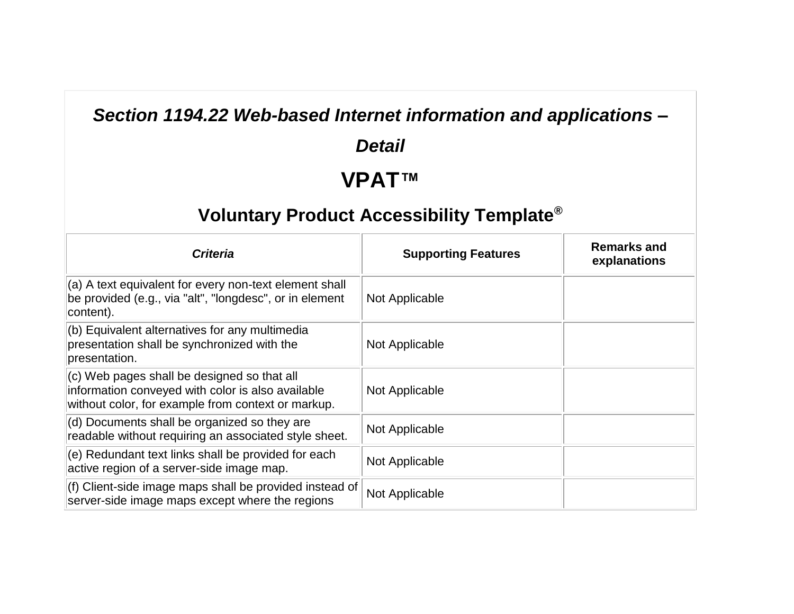#### *Section 1194.22 Web-based Internet information and applications –*

#### *Detail*

## **VPAT™**

| <b>Criteria</b>                                                                                                                                        | <b>Supporting Features</b> | <b>Remarks and</b><br>explanations |
|--------------------------------------------------------------------------------------------------------------------------------------------------------|----------------------------|------------------------------------|
| (a) A text equivalent for every non-text element shall<br>be provided (e.g., via "alt", "longdesc", or in element<br>content).                         | Not Applicable             |                                    |
| (b) Equivalent alternatives for any multimedia<br>presentation shall be synchronized with the<br>presentation.                                         | Not Applicable             |                                    |
| (c) Web pages shall be designed so that all<br>information conveyed with color is also available<br>without color, for example from context or markup. | Not Applicable             |                                    |
| (d) Documents shall be organized so they are<br>readable without requiring an associated style sheet.                                                  | Not Applicable             |                                    |
| (e) Redundant text links shall be provided for each<br>active region of a server-side image map.                                                       | Not Applicable             |                                    |
| (f) Client-side image maps shall be provided instead of<br>server-side image maps except where the regions                                             | Not Applicable             |                                    |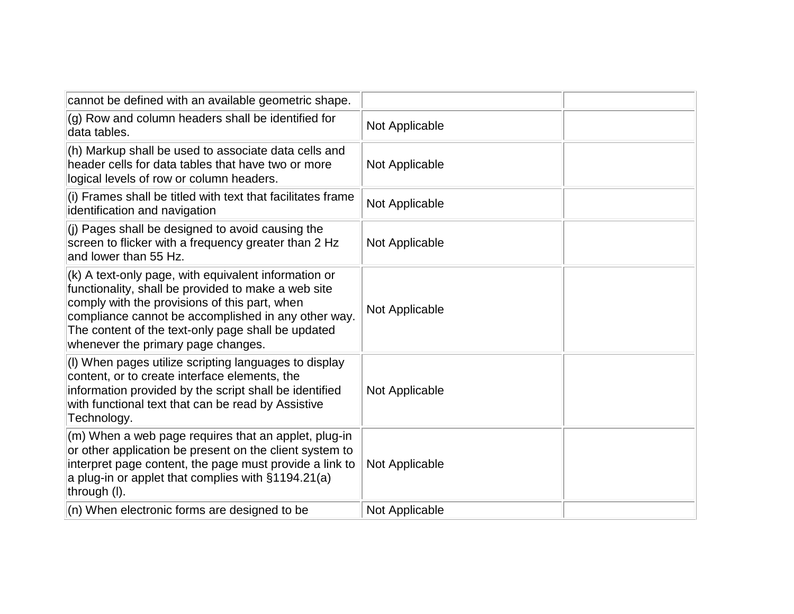| cannot be defined with an available geometric shape.                                                                                                                                                                                                                                                            |                |  |
|-----------------------------------------------------------------------------------------------------------------------------------------------------------------------------------------------------------------------------------------------------------------------------------------------------------------|----------------|--|
| (g) Row and column headers shall be identified for<br>data tables.                                                                                                                                                                                                                                              | Not Applicable |  |
| (h) Markup shall be used to associate data cells and<br>header cells for data tables that have two or more<br>logical levels of row or column headers.                                                                                                                                                          | Not Applicable |  |
| (i) Frames shall be titled with text that facilitates frame<br>identification and navigation                                                                                                                                                                                                                    | Not Applicable |  |
| (j) Pages shall be designed to avoid causing the<br>screen to flicker with a frequency greater than 2 Hz<br>and lower than 55 Hz.                                                                                                                                                                               | Not Applicable |  |
| (k) A text-only page, with equivalent information or<br>functionality, shall be provided to make a web site<br>comply with the provisions of this part, when<br>compliance cannot be accomplished in any other way.<br>The content of the text-only page shall be updated<br>whenever the primary page changes. | Not Applicable |  |
| (I) When pages utilize scripting languages to display<br>content, or to create interface elements, the<br>information provided by the script shall be identified<br>with functional text that can be read by Assistive<br>Technology.                                                                           | Not Applicable |  |
| (m) When a web page requires that an applet, plug-in<br>or other application be present on the client system to<br>interpret page content, the page must provide a link to<br>a plug-in or applet that complies with $\S 1194.21(a)$<br>through (I).                                                            | Not Applicable |  |
| (n) When electronic forms are designed to be                                                                                                                                                                                                                                                                    | Not Applicable |  |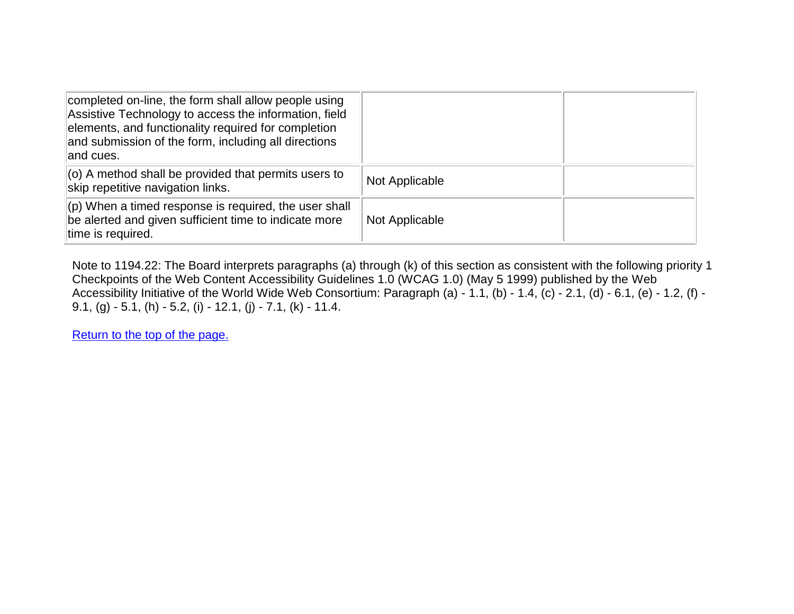| completed on-line, the form shall allow people using<br>Assistive Technology to access the information, field<br>elements, and functionality required for completion<br>and submission of the form, including all directions<br>and cues. |                |  |
|-------------------------------------------------------------------------------------------------------------------------------------------------------------------------------------------------------------------------------------------|----------------|--|
| $\vert$ (o) A method shall be provided that permits users to<br>skip repetitive navigation links.                                                                                                                                         | Not Applicable |  |
| $\vert$ (p) When a timed response is required, the user shall<br>be alerted and given sufficient time to indicate more<br>time is required.                                                                                               | Not Applicable |  |

Note to 1194.22: The Board interprets paragraphs (a) through (k) of this section as consistent with the following priority 1 Checkpoints of the Web Content Accessibility Guidelines 1.0 (WCAG 1.0) (May 5 1999) published by the Web Accessibility Initiative of the World Wide Web Consortium: Paragraph (a) - 1.1, (b) - 1.4, (c) - 2.1, (d) - 6.1, (e) - 1.2, (f) - 9.1, (g) - 5.1, (h) - 5.2, (i) - 12.1, (j) - 7.1, (k) - 11.4.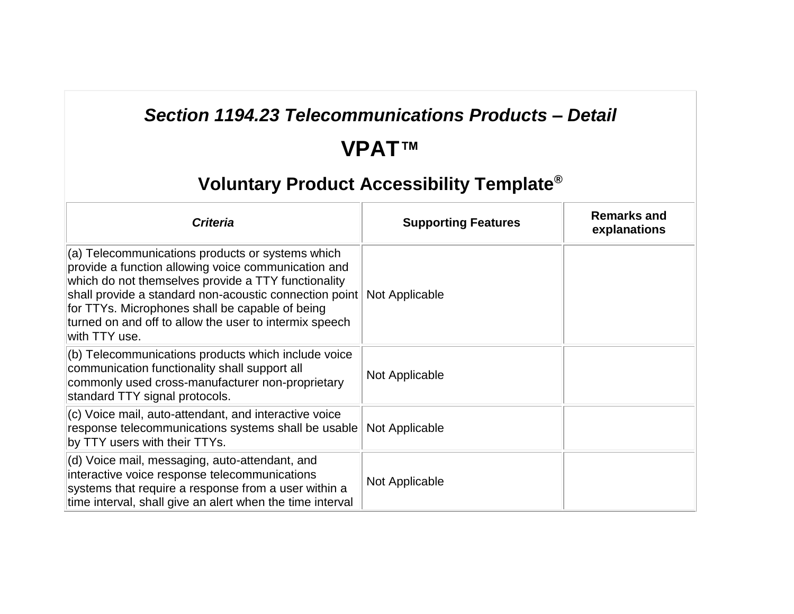### *Section 1194.23 Telecommunications Products – Detail*

# **VPAT™**

| <b>Criteria</b>                                                                                                                                                                                                                                                                                                                                          | <b>Supporting Features</b> | <b>Remarks and</b><br>explanations |
|----------------------------------------------------------------------------------------------------------------------------------------------------------------------------------------------------------------------------------------------------------------------------------------------------------------------------------------------------------|----------------------------|------------------------------------|
| $(a)$ Telecommunications products or systems which<br>provide a function allowing voice communication and<br>which do not themselves provide a TTY functionality<br>shall provide a standard non-acoustic connection point<br>for TTYs. Microphones shall be capable of being<br>turned on and off to allow the user to intermix speech<br>with TTY use. | Not Applicable             |                                    |
| (b) Telecommunications products which include voice<br>communication functionality shall support all<br>commonly used cross-manufacturer non-proprietary<br>standard TTY signal protocols.                                                                                                                                                               | Not Applicable             |                                    |
| $ $ (c) Voice mail, auto-attendant, and interactive voice<br>response telecommunications systems shall be usable<br>by TTY users with their TTYs.                                                                                                                                                                                                        | Not Applicable             |                                    |
| (d) Voice mail, messaging, auto-attendant, and<br>interactive voice response telecommunications<br>systems that require a response from a user within a<br>time interval, shall give an alert when the time interval                                                                                                                                     | Not Applicable             |                                    |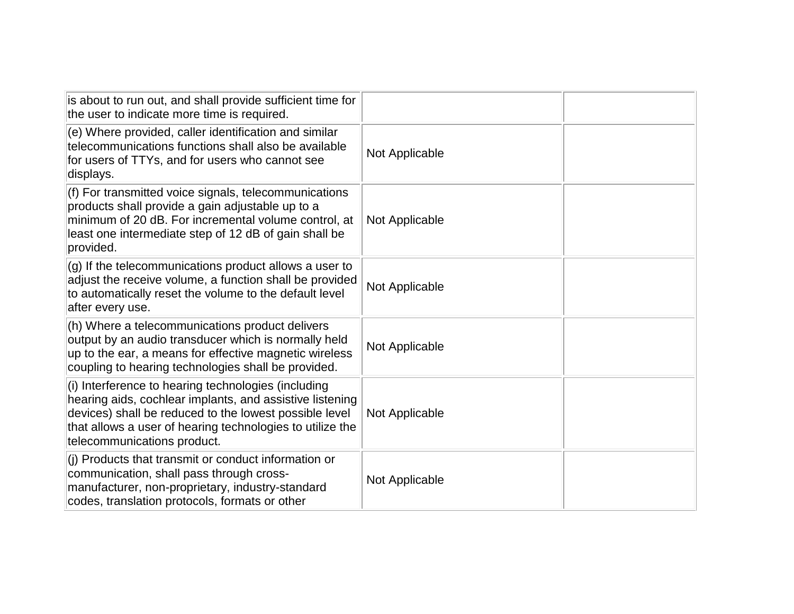| is about to run out, and shall provide sufficient time for<br>the user to indicate more time is required.                                                                                                                                                             |                |  |
|-----------------------------------------------------------------------------------------------------------------------------------------------------------------------------------------------------------------------------------------------------------------------|----------------|--|
| (e) Where provided, caller identification and similar<br>telecommunications functions shall also be available<br>for users of TTYs, and for users who cannot see<br>displays.                                                                                         | Not Applicable |  |
| (f) For transmitted voice signals, telecommunications<br>products shall provide a gain adjustable up to a<br>minimum of 20 dB. For incremental volume control, at<br>least one intermediate step of 12 dB of gain shall be<br>provided.                               | Not Applicable |  |
| (g) If the telecommunications product allows a user to<br>adjust the receive volume, a function shall be provided<br>to automatically reset the volume to the default level<br>after every use.                                                                       | Not Applicable |  |
| (h) Where a telecommunications product delivers<br>output by an audio transducer which is normally held<br>up to the ear, a means for effective magnetic wireless<br>coupling to hearing technologies shall be provided.                                              | Not Applicable |  |
| (i) Interference to hearing technologies (including<br>hearing aids, cochlear implants, and assistive listening<br>devices) shall be reduced to the lowest possible level<br>that allows a user of hearing technologies to utilize the<br>telecommunications product. | Not Applicable |  |
| (i) Products that transmit or conduct information or<br>communication, shall pass through cross-<br>manufacturer, non-proprietary, industry-standard<br>codes, translation protocols, formats or other                                                                | Not Applicable |  |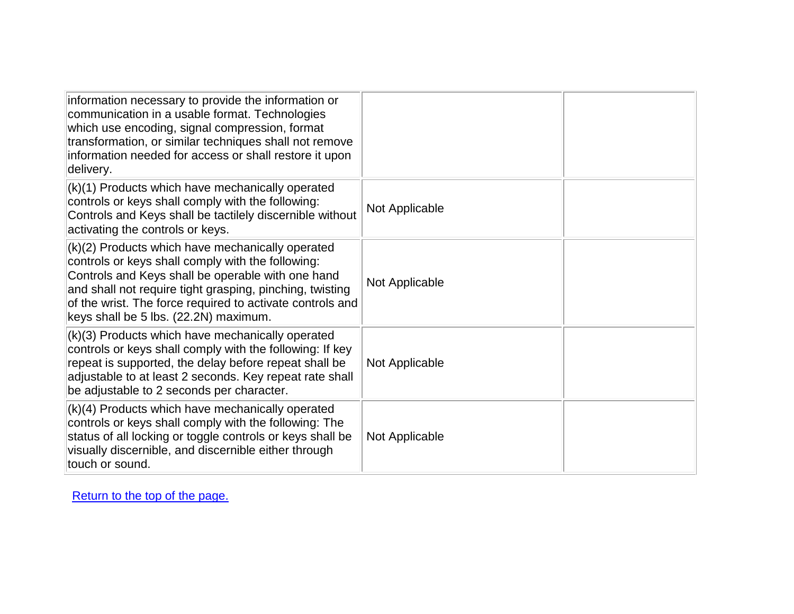| information necessary to provide the information or<br>communication in a usable format. Technologies<br>which use encoding, signal compression, format<br>transformation, or similar techniques shall not remove<br>information needed for access or shall restore it upon<br>delivery.                                     |                |  |
|------------------------------------------------------------------------------------------------------------------------------------------------------------------------------------------------------------------------------------------------------------------------------------------------------------------------------|----------------|--|
| (k)(1) Products which have mechanically operated<br>controls or keys shall comply with the following:<br>Controls and Keys shall be tactilely discernible without<br>activating the controls or keys.                                                                                                                        | Not Applicable |  |
| (k)(2) Products which have mechanically operated<br>controls or keys shall comply with the following:<br>Controls and Keys shall be operable with one hand<br>and shall not require tight grasping, pinching, twisting<br>of the wrist. The force required to activate controls and<br>keys shall be 5 lbs. (22.2N) maximum. | Not Applicable |  |
| (k)(3) Products which have mechanically operated<br>controls or keys shall comply with the following: If key<br>repeat is supported, the delay before repeat shall be<br>adjustable to at least 2 seconds. Key repeat rate shall<br>be adjustable to 2 seconds per character.                                                | Not Applicable |  |
| (k)(4) Products which have mechanically operated<br>controls or keys shall comply with the following: The<br>status of all locking or toggle controls or keys shall be<br>visually discernible, and discernible either through<br>touch or sound.                                                                            | Not Applicable |  |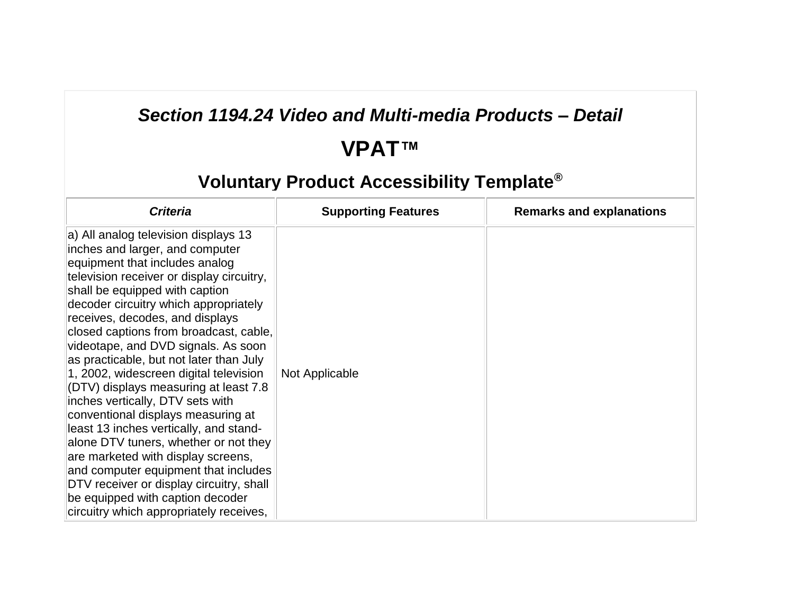### *Section 1194.24 Video and Multi-media Products – Detail*

# **VPAT™**

| <b>Criteria</b>                                                                                                                                                                                                                                                                                                                                                                                                                                                                                                                                                                                                                                                                                                                                                                                                                                           | <b>Supporting Features</b> | <b>Remarks and explanations</b> |
|-----------------------------------------------------------------------------------------------------------------------------------------------------------------------------------------------------------------------------------------------------------------------------------------------------------------------------------------------------------------------------------------------------------------------------------------------------------------------------------------------------------------------------------------------------------------------------------------------------------------------------------------------------------------------------------------------------------------------------------------------------------------------------------------------------------------------------------------------------------|----------------------------|---------------------------------|
| a) All analog television displays 13<br>inches and larger, and computer<br>equipment that includes analog<br>television receiver or display circuitry,<br>shall be equipped with caption<br>decoder circuitry which appropriately<br>receives, decodes, and displays<br>closed captions from broadcast, cable,<br>videotape, and DVD signals. As soon<br>as practicable, but not later than July<br>1, 2002, widescreen digital television<br>(DTV) displays measuring at least 7.8<br>inches vertically, DTV sets with<br>conventional displays measuring at<br>least 13 inches vertically, and stand-<br>alone DTV tuners, whether or not they<br>are marketed with display screens,<br>and computer equipment that includes<br>DTV receiver or display circuitry, shall<br>be equipped with caption decoder<br>circuitry which appropriately receives, | Not Applicable             |                                 |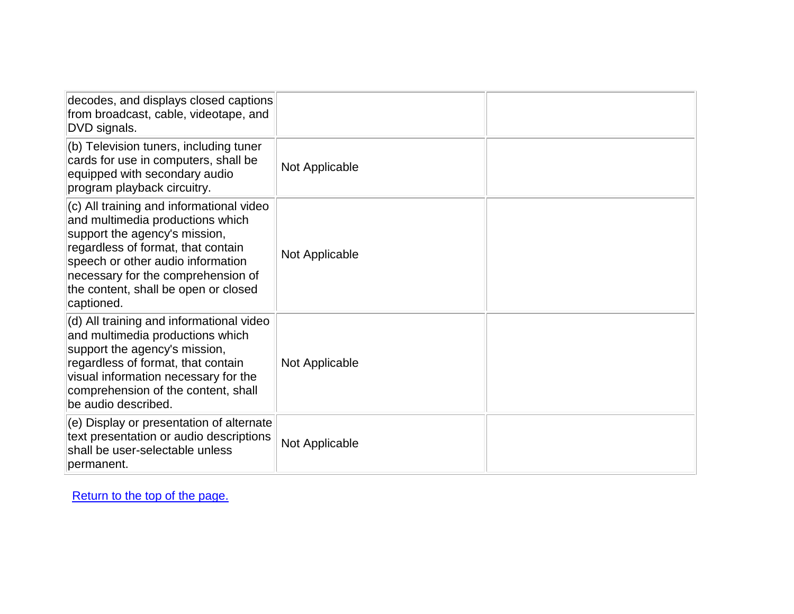| decodes, and displays closed captions<br>from broadcast, cable, videotape, and<br>DVD signals.                                                                                                                                                                                       |                |  |
|--------------------------------------------------------------------------------------------------------------------------------------------------------------------------------------------------------------------------------------------------------------------------------------|----------------|--|
| (b) Television tuners, including tuner<br>cards for use in computers, shall be<br>equipped with secondary audio<br>program playback circuitry.                                                                                                                                       | Not Applicable |  |
| (c) All training and informational video<br>and multimedia productions which<br>support the agency's mission,<br>regardless of format, that contain<br>speech or other audio information<br>necessary for the comprehension of<br>the content, shall be open or closed<br>captioned. | Not Applicable |  |
| (d) All training and informational video<br>and multimedia productions which<br>support the agency's mission,<br>regardless of format, that contain<br>visual information necessary for the<br>comprehension of the content, shall<br>be audio described.                            | Not Applicable |  |
| (e) Display or presentation of alternate<br>text presentation or audio descriptions<br>shall be user-selectable unless<br>permanent.                                                                                                                                                 | Not Applicable |  |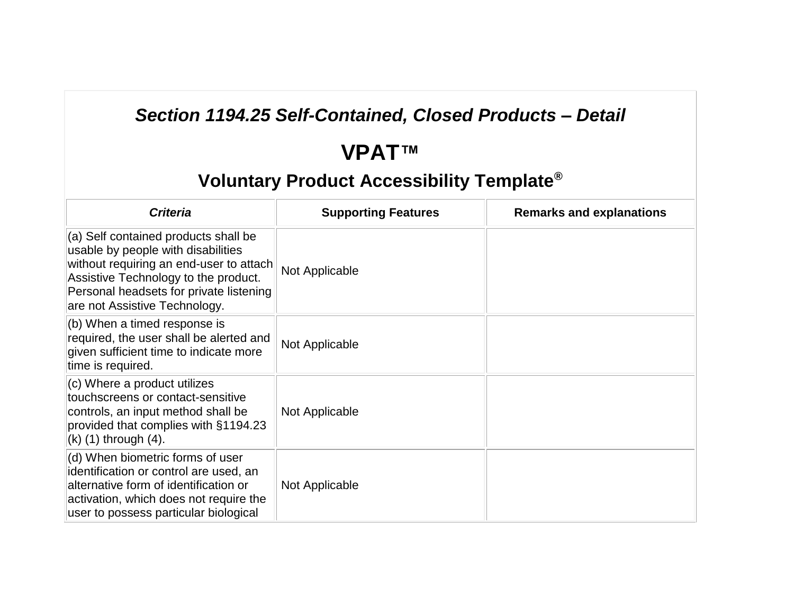### *Section 1194.25 Self-Contained, Closed Products – Detail*

# **VPAT™**

| <b>Criteria</b>                                                                                                                                                                                                                                   | <b>Supporting Features</b> | <b>Remarks and explanations</b> |
|---------------------------------------------------------------------------------------------------------------------------------------------------------------------------------------------------------------------------------------------------|----------------------------|---------------------------------|
| $\vert$ (a) Self contained products shall be<br>usable by people with disabilities<br>without requiring an end-user to attach<br>Assistive Technology to the product.<br>Personal headsets for private listening<br>are not Assistive Technology. | Not Applicable             |                                 |
| $ $ (b) When a timed response is<br>required, the user shall be alerted and<br>given sufficient time to indicate more<br>time is required.                                                                                                        | Not Applicable             |                                 |
| $(c)$ Where a product utilizes<br>touchscreens or contact-sensitive<br>controls, an input method shall be<br>provided that complies with §1194.23<br>$(k)$ (1) through (4).                                                                       | Not Applicable             |                                 |
| (d) When biometric forms of user<br>identification or control are used, an<br>alternative form of identification or<br>activation, which does not require the<br>user to possess particular biological                                            | Not Applicable             |                                 |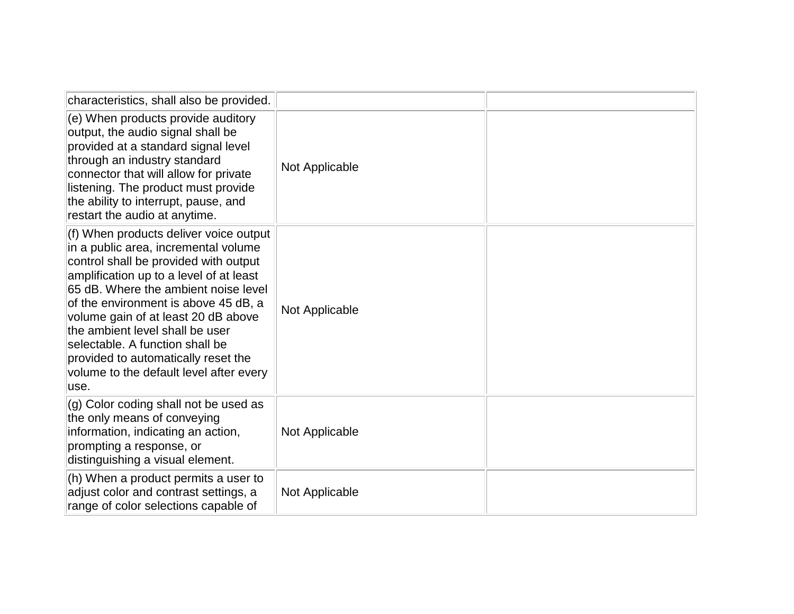| characteristics, shall also be provided.                                                                                                                                                                                                                                                                                                                                                                                                                   |                |  |
|------------------------------------------------------------------------------------------------------------------------------------------------------------------------------------------------------------------------------------------------------------------------------------------------------------------------------------------------------------------------------------------------------------------------------------------------------------|----------------|--|
| (e) When products provide auditory<br>output, the audio signal shall be<br>provided at a standard signal level<br>through an industry standard<br>connector that will allow for private<br>listening. The product must provide<br>the ability to interrupt, pause, and<br>restart the audio at anytime.                                                                                                                                                    | Not Applicable |  |
| (f) When products deliver voice output<br>in a public area, incremental volume<br>control shall be provided with output<br>amplification up to a level of at least<br>65 dB. Where the ambient noise level<br>of the environment is above 45 dB, a<br>volume gain of at least 20 dB above<br>the ambient level shall be user<br>selectable. A function shall be<br>provided to automatically reset the<br>volume to the default level after every<br>luse. | Not Applicable |  |
| (g) Color coding shall not be used as<br>the only means of conveying<br>information, indicating an action,<br>prompting a response, or<br>distinguishing a visual element.                                                                                                                                                                                                                                                                                 | Not Applicable |  |
| (h) When a product permits a user to<br>adjust color and contrast settings, a<br>range of color selections capable of                                                                                                                                                                                                                                                                                                                                      | Not Applicable |  |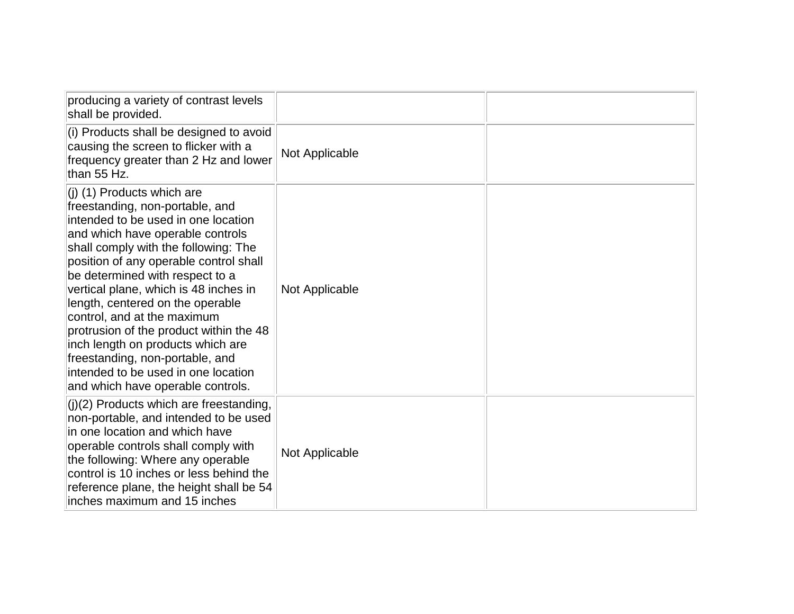| producing a variety of contrast levels<br>shall be provided.                                                                                                                                                                                                                                                                                                                                                                                                                                                                                                               |                |  |
|----------------------------------------------------------------------------------------------------------------------------------------------------------------------------------------------------------------------------------------------------------------------------------------------------------------------------------------------------------------------------------------------------------------------------------------------------------------------------------------------------------------------------------------------------------------------------|----------------|--|
| (i) Products shall be designed to avoid<br>causing the screen to flicker with a<br>frequency greater than 2 Hz and lower<br>than 55 Hz.                                                                                                                                                                                                                                                                                                                                                                                                                                    | Not Applicable |  |
| $(i)$ (1) Products which are<br>freestanding, non-portable, and<br>intended to be used in one location<br>and which have operable controls<br>shall comply with the following: The<br>position of any operable control shall<br>be determined with respect to a<br>vertical plane, which is 48 inches in<br>length, centered on the operable<br>control, and at the maximum<br>protrusion of the product within the 48<br>inch length on products which are<br>freestanding, non-portable, and<br>intended to be used in one location<br>and which have operable controls. | Not Applicable |  |
| $(j)(2)$ Products which are freestanding,<br>non-portable, and intended to be used<br>in one location and which have<br>operable controls shall comply with<br>the following: Where any operable<br>control is 10 inches or less behind the<br>reference plane, the height shall be 54<br>inches maximum and 15 inches                                                                                                                                                                                                                                                     | Not Applicable |  |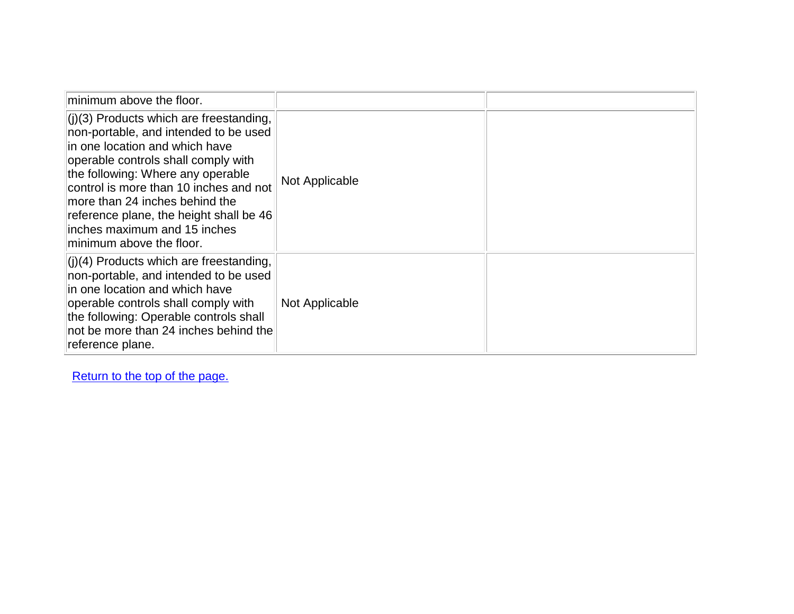| minimum above the floor.                                                                                                                                                                                                                                                                                                                                                                    |                |  |
|---------------------------------------------------------------------------------------------------------------------------------------------------------------------------------------------------------------------------------------------------------------------------------------------------------------------------------------------------------------------------------------------|----------------|--|
| $\vert$ (j)(3) Products which are freestanding,<br>non-portable, and intended to be used<br>lin one location and which have<br>operable controls shall comply with<br>the following: Where any operable<br>control is more than 10 inches and not<br>more than 24 inches behind the<br>reference plane, the height shall be 46<br>linches maximum and 15 inches<br>minimum above the floor. | Not Applicable |  |
| $\vert (i)(4)$ Products which are freestanding,<br>non-portable, and intended to be used<br>lin one location and which have<br>operable controls shall comply with<br>the following: Operable controls shall<br>not be more than 24 inches behind the<br>reference plane.                                                                                                                   | Not Applicable |  |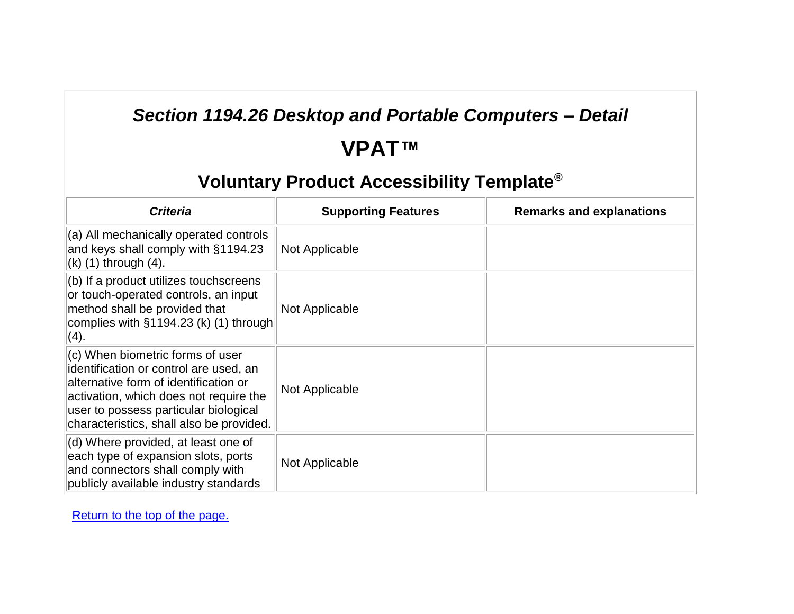### *Section 1194.26 Desktop and Portable Computers – Detail*

# **VPAT™**

### **Voluntary Product Accessibility Template®**

| <b>Criteria</b>                                                                                                                                                                                                                                    | <b>Supporting Features</b> | <b>Remarks and explanations</b> |
|----------------------------------------------------------------------------------------------------------------------------------------------------------------------------------------------------------------------------------------------------|----------------------------|---------------------------------|
| (a) All mechanically operated controls<br>and keys shall comply with §1194.23<br>$(k)$ (1) through $(4)$ .                                                                                                                                         | Not Applicable             |                                 |
| $(b)$ If a product utilizes touchscreens<br>or touch-operated controls, an input<br>method shall be provided that<br>complies with $§1194.23$ (k) (1) through<br>(4).                                                                              | Not Applicable             |                                 |
| (c) When biometric forms of user<br>identification or control are used, an<br>alternative form of identification or<br>activation, which does not require the<br>user to possess particular biological<br>characteristics, shall also be provided. | Not Applicable             |                                 |
| (d) Where provided, at least one of<br>each type of expansion slots, ports<br>and connectors shall comply with<br>publicly available industry standards                                                                                            | Not Applicable             |                                 |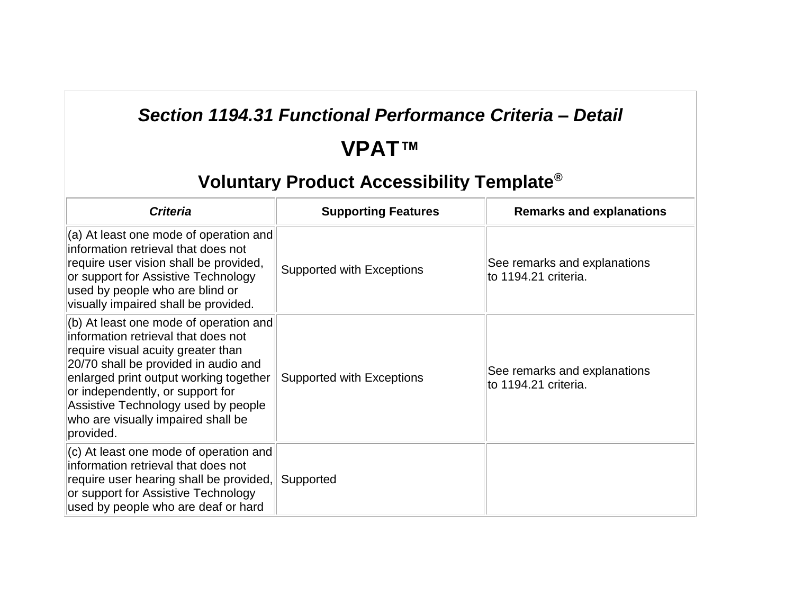### *Section 1194.31 Functional Performance Criteria – Detail*

# **VPAT™**

| <b>Criteria</b>                                                                                                                                                                                                                                                                                                                     | <b>Supporting Features</b>       | <b>Remarks and explanations</b>                      |
|-------------------------------------------------------------------------------------------------------------------------------------------------------------------------------------------------------------------------------------------------------------------------------------------------------------------------------------|----------------------------------|------------------------------------------------------|
| (a) At least one mode of operation and<br>information retrieval that does not<br>require user vision shall be provided,<br>or support for Assistive Technology<br>used by people who are blind or<br>visually impaired shall be provided.                                                                                           | Supported with Exceptions        | See remarks and explanations<br>to 1194.21 criteria. |
| (b) At least one mode of operation and<br>information retrieval that does not<br>require visual acuity greater than<br>20/70 shall be provided in audio and<br>enlarged print output working together<br>or independently, or support for<br>Assistive Technology used by people<br>who are visually impaired shall be<br>provided. | <b>Supported with Exceptions</b> | See remarks and explanations<br>to 1194.21 criteria. |
| (c) At least one mode of operation and<br>information retrieval that does not<br>require user hearing shall be provided,<br>or support for Assistive Technology<br>used by people who are deaf or hard                                                                                                                              | Supported                        |                                                      |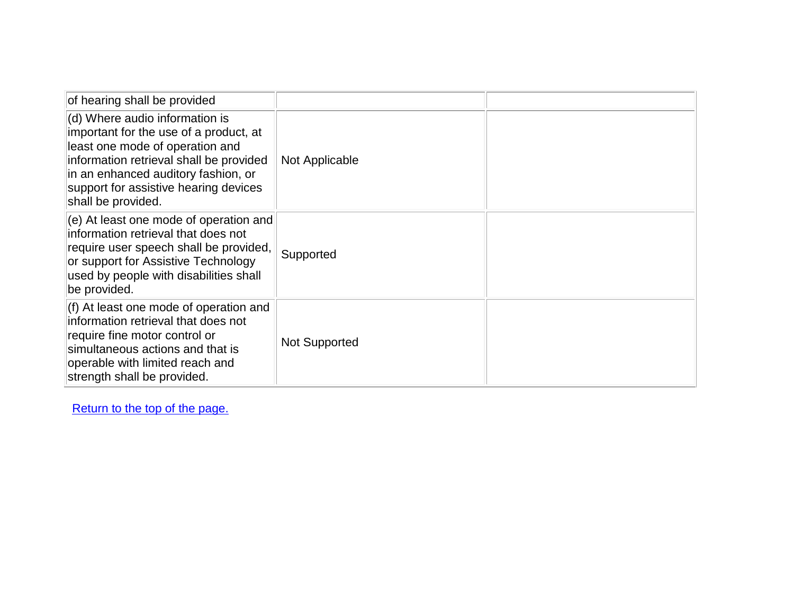| of hearing shall be provided                                                                                                                                                                                                                                 |                      |  |
|--------------------------------------------------------------------------------------------------------------------------------------------------------------------------------------------------------------------------------------------------------------|----------------------|--|
| (d) Where audio information is<br>important for the use of a product, at<br>least one mode of operation and<br>information retrieval shall be provided<br>in an enhanced auditory fashion, or<br>support for assistive hearing devices<br>shall be provided. | Not Applicable       |  |
| (e) At least one mode of operation and<br>information retrieval that does not<br>require user speech shall be provided,<br>or support for Assistive Technology<br>used by people with disabilities shall<br>be provided.                                     | Supported            |  |
| (f) At least one mode of operation and<br>information retrieval that does not<br>require fine motor control or<br>simultaneous actions and that is<br>operable with limited reach and<br>strength shall be provided.                                         | <b>Not Supported</b> |  |